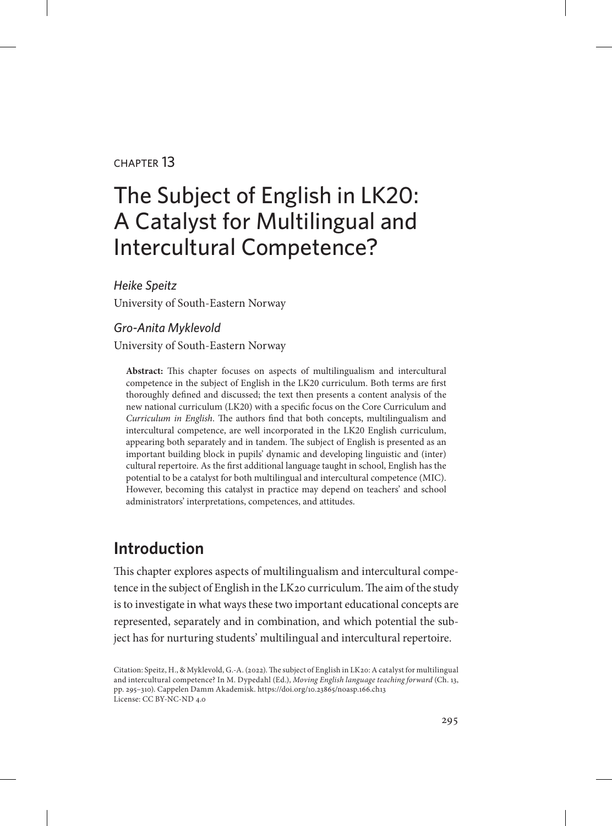#### chapter 13

# The Subject of English in LK20: A Catalyst for Multilingual and Intercultural Competence?

*Heike Speitz* University of South-Eastern Norway

#### *Gro-Anita Myklevold*

University of South-Eastern Norway

**Abstract:** This chapter focuses on aspects of multilingualism and intercultural competence in the subject of English in the LK20 curriculum. Both terms are first thoroughly defined and discussed; the text then presents a content analysis of the new national curriculum (LK20) with a specific focus on the Core Curriculum and *Curriculum in English*. The authors find that both concepts, multilingualism and intercultural competence, are well incorporated in the LK20 English curriculum, appearing both separately and in tandem. The subject of English is presented as an important building block in pupils' dynamic and developing linguistic and (inter) cultural repertoire. As the first additional language taught in school, English has the potential to be a catalyst for both multilingual and intercultural competence (MIC). However, becoming this catalyst in practice may depend on teachers' and school administrators' interpretations, competences, and attitudes.

# **Introduction**

This chapter explores aspects of multilingualism and intercultural competence in the subject of English in the LK20 curriculum. The aim of the study is to investigate in what ways these two important educational concepts are represented, separately and in combination, and which potential the subject has for nurturing students' multilingual and intercultural repertoire.

Citation: Speitz, H., & Myklevold, G.-A. (2022). The subject of English in LK20: A catalyst for multilingual and intercultural competence? In M. Dypedahl (Ed.), *Moving English language teaching forward* (Ch. 13, pp. 295–310). Cappelen Damm Akademisk. https://doi.org/10.23865/noasp.166.ch13 License: CC BY-NC-ND 4.0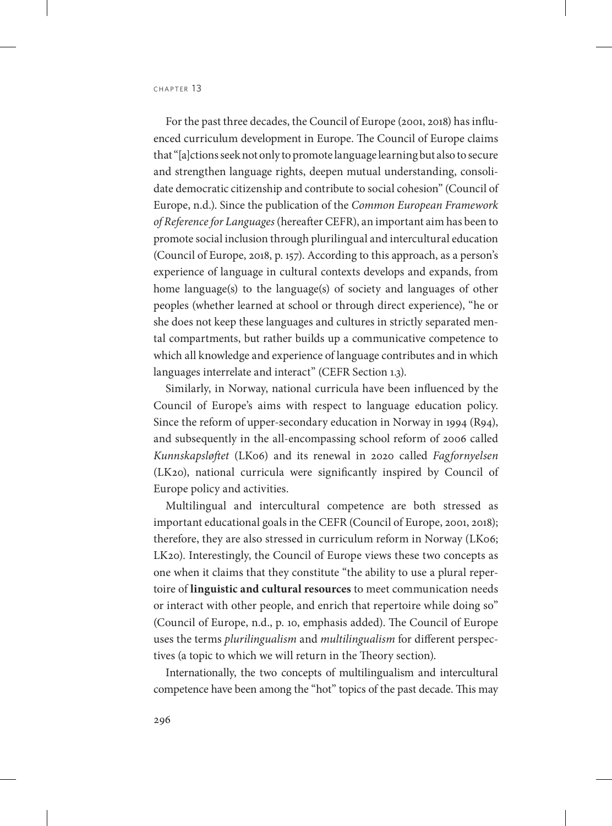For the past three decades, the Council of Europe (2001, 2018) has influenced curriculum development in Europe. The Council of Europe claims that "[a]ctions seek not only to promote language learning but also to secure and strengthen language rights, deepen mutual understanding, consolidate democratic citizenship and contribute to social cohesion" (Council of Europe, n.d.). Since the publication of the *Common European Framework of Reference for Languages* (hereafter CEFR), an important aim has been to promote social inclusion through plurilingual and intercultural education (Council of Europe, 2018, p. 157). According to this approach, as a person's experience of language in cultural contexts develops and expands, from home language(s) to the language(s) of society and languages of other peoples (whether learned at school or through direct experience), "he or she does not keep these languages and cultures in strictly separated mental compartments, but rather builds up a communicative competence to which all knowledge and experience of language contributes and in which languages interrelate and interact" (CEFR Section 1.3).

Similarly, in Norway, national curricula have been influenced by the Council of Europe's aims with respect to language education policy. Since the reform of upper-secondary education in Norway in 1994 (R94), and subsequently in the all-encompassing school reform of 2006 called *Kunnskapsløftet* (LK06) and its renewal in 2020 called *Fagfornyelsen* (LK20), national curricula were significantly inspired by Council of Europe policy and activities.

Multilingual and intercultural competence are both stressed as important educational goals in the CEFR (Council of Europe, 2001, 2018); therefore, they are also stressed in curriculum reform in Norway (LK06; LK20). Interestingly, the Council of Europe views these two concepts as one when it claims that they constitute "the ability to use a plural repertoire of **linguistic and cultural resources** to meet communication needs or interact with other people, and enrich that repertoire while doing so" (Council of Europe, n.d., p. 10, emphasis added). The Council of Europe uses the terms *plurilingualism* and *multilingualism* for different perspectives (a topic to which we will return in the Theory section).

Internationally, the two concepts of multilingualism and intercultural competence have been among the "hot" topics of the past decade. This may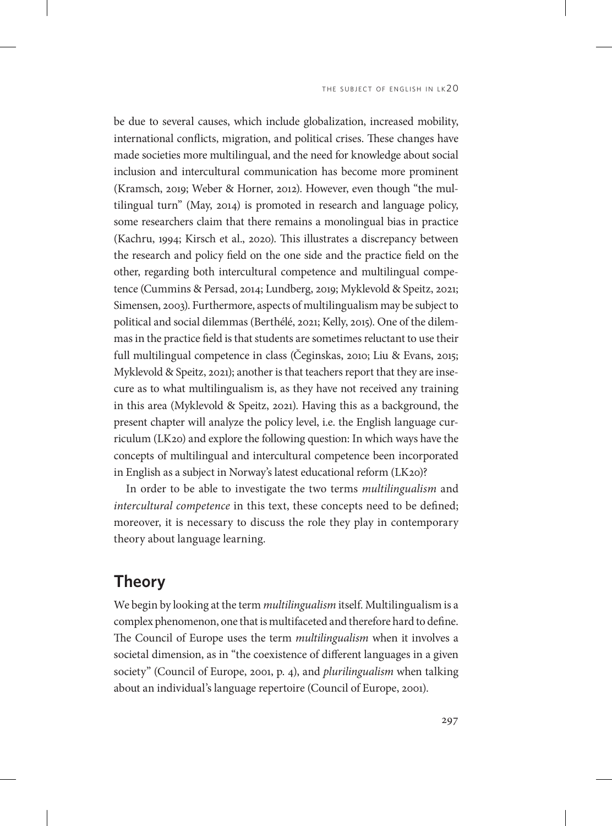be due to several causes, which include globalization, increased mobility, international conflicts, migration, and political crises. These changes have made societies more multilingual, and the need for knowledge about social inclusion and intercultural communication has become more prominent (Kramsch, 2019; Weber & Horner, 2012). However, even though "the multilingual turn" (May, 2014) is promoted in research and language policy, some researchers claim that there remains a monolingual bias in practice (Kachru, 1994; Kirsch et al., 2020). This illustrates a discrepancy between the research and policy field on the one side and the practice field on the other, regarding both intercultural competence and multilingual competence (Cummins & Persad, 2014; Lundberg, 2019; Myklevold & Speitz, 2021; Simensen, 2003). Furthermore, aspects of multilingualism may be subject to political and social dilemmas (Berthélé, 2021; Kelly, 2015). One of the dilemmas in the practice field is that students are sometimes reluctant to use their full multilingual competence in class (Čeginskas, 2010; Liu & Evans, 2015; Myklevold & Speitz, 2021); another is that teachers report that they are insecure as to what multilingualism is, as they have not received any training in this area (Myklevold & Speitz, 2021). Having this as a background, the present chapter will analyze the policy level, i.e. the English language curriculum (LK20) and explore the following question: In which ways have the concepts of multilingual and intercultural competence been incorporated in English as a subject in Norway's latest educational reform (LK20)?

In order to be able to investigate the two terms *multilingualism* and *intercultural competence* in this text, these concepts need to be defined; moreover, it is necessary to discuss the role they play in contemporary theory about language learning.

# **Theory**

We begin by looking at the term *multilingualism* itself. Multilingualism is a complex phenomenon, one that is multifaceted and therefore hard to define. The Council of Europe uses the term *multilingualism* when it involves a societal dimension, as in "the coexistence of different languages in a given society" (Council of Europe, 2001, p. 4), and *plurilingualism* when talking about an individual's language repertoire (Council of Europe, 2001).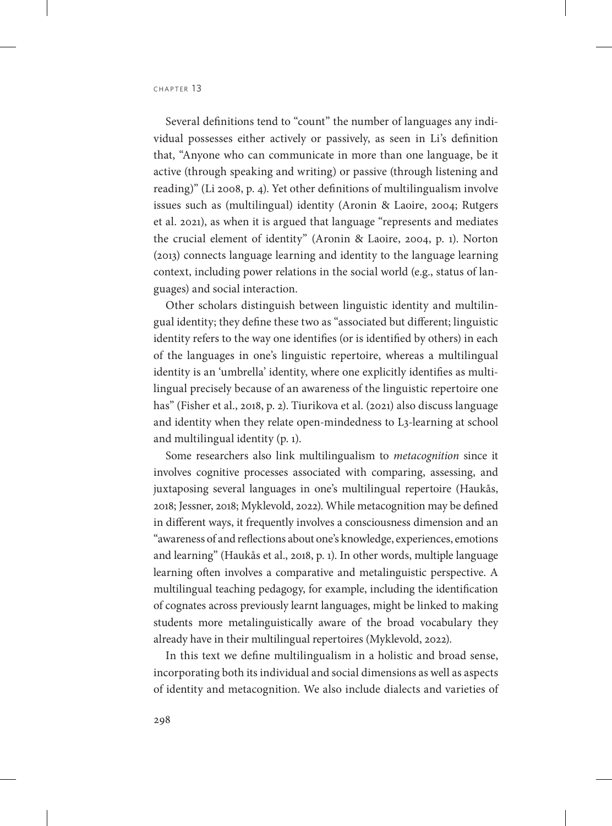Several definitions tend to "count" the number of languages any individual possesses either actively or passively, as seen in Li's definition that, "Anyone who can communicate in more than one language, be it active (through speaking and writing) or passive (through listening and reading)" (Li 2008, p. 4). Yet other definitions of multilingualism involve issues such as (multilingual) identity (Aronin & Laoire, 2004; Rutgers et al. 2021), as when it is argued that language "represents and mediates the crucial element of identity" (Aronin & Laoire, 2004, p. 1). Norton (2013) connects language learning and identity to the language learning context, including power relations in the social world (e.g., status of languages) and social interaction.

Other scholars distinguish between linguistic identity and multilingual identity; they define these two as "associated but different; linguistic identity refers to the way one identifies (or is identified by others) in each of the languages in one's linguistic repertoire, whereas a multilingual identity is an 'umbrella' identity, where one explicitly identifies as multilingual precisely because of an awareness of the linguistic repertoire one has" (Fisher et al., 2018, p. 2). Tiurikova et al. (2021) also discuss language and identity when they relate open-mindedness to L3-learning at school and multilingual identity (p. 1).

Some researchers also link multilingualism to *metacognition* since it involves cognitive processes associated with comparing, assessing, and juxtaposing several languages in one's multilingual repertoire (Haukås, 2018; Jessner, 2018; Myklevold, 2022). While metacognition may be defined in different ways, it frequently involves a consciousness dimension and an "awareness of and reflections about one's knowledge, experiences, emotions and learning" (Haukås et al., 2018, p. 1). In other words, multiple language learning often involves a comparative and metalinguistic perspective. A multilingual teaching pedagogy, for example, including the identification of cognates across previously learnt languages, might be linked to making students more metalinguistically aware of the broad vocabulary they already have in their multilingual repertoires (Myklevold, 2022).

In this text we define multilingualism in a holistic and broad sense, incorporating both its individual and social dimensions as well as aspects of identity and metacognition. We also include dialects and varieties of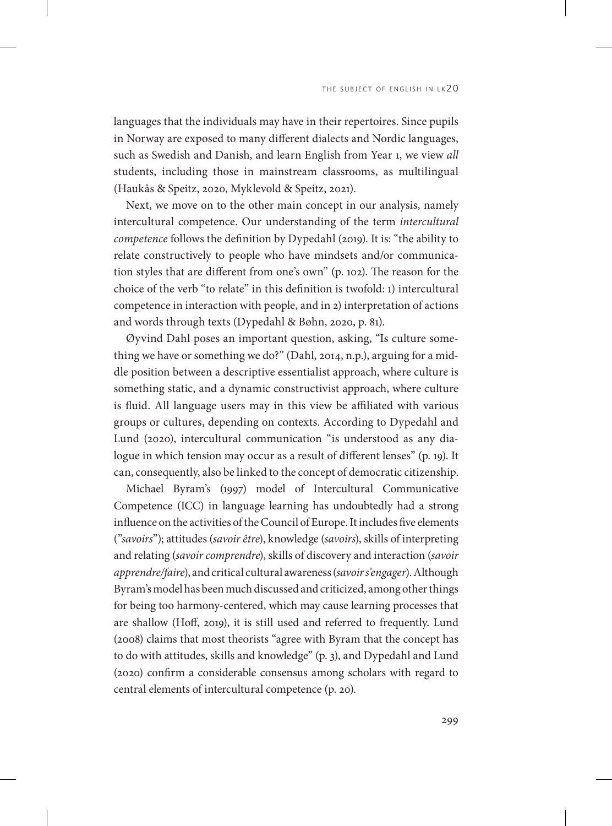languages that the individuals may have in their repertoires. Since pupils in Norway are exposed to many different dialects and Nordic languages, such as Swedish and Danish, and learn English from Year 1, we view *all* students, including those in mainstream classrooms, as multilingual (Haukås & Speitz, 2020, Myklevold & Speitz, 2021).

Next, we move on to the other main concept in our analysis, namely intercultural competence. Our understanding of the term *intercultural competence* follows the definition by Dypedahl (2019). It is: "the ability to relate constructively to people who have mindsets and/or communication styles that are different from one's own" (p. 102). The reason for the choice of the verb "to relate" in this definition is twofold: 1) intercultural competence in interaction with people, and in 2) interpretation of actions and words through texts (Dypedahl & Bøhn, 2020, p. 81).

Øyvind Dahl poses an important question, asking, "Is culture something we have or something we do?" (Dahl, 2014, n.p.), arguing for a middle position between a descriptive essentialist approach, where culture is something static, and a dynamic constructivist approach, where culture is fluid. All language users may in this view be affiliated with various groups or cultures, depending on contexts. According to Dypedahl and Lund (2020), intercultural communication "is understood as any dialogue in which tension may occur as a result of different lenses" (p. 19). It can, consequently, also be linked to the concept of democratic citizenship.

Michael Byram's (1997) model of Intercultural Communicative Competence (ICC) in language learning has undoubtedly had a strong influence on the activities of the Council of Europe. It includes five elements ("*savoirs*"); attitudes (*savoir être*), knowledge (*savoirs*), skills of interpreting and relating (*savoir comprendre*), skills of discovery and interaction (*savoir apprendre/faire*), and critical cultural awareness (*savoir s'engager*). Although Byram's model has been much discussed and criticized, among other things for being too harmony-centered, which may cause learning processes that are shallow (Hoff, 2019), it is still used and referred to frequently. Lund (2008) claims that most theorists "agree with Byram that the concept has to do with attitudes, skills and knowledge" (p. 3), and Dypedahl and Lund (2020) confirm a considerable consensus among scholars with regard to central elements of intercultural competence (p. 20).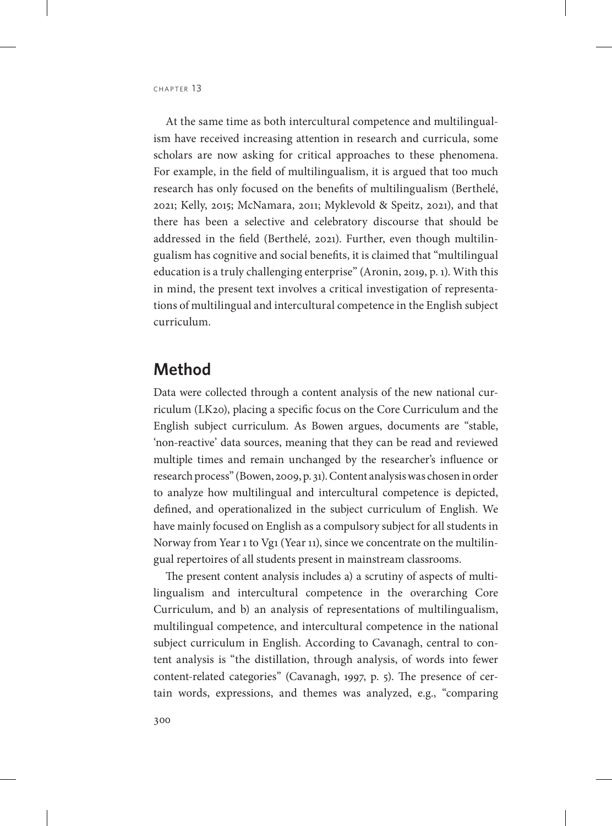At the same time as both intercultural competence and multilingualism have received increasing attention in research and curricula, some scholars are now asking for critical approaches to these phenomena. For example, in the field of multilingualism, it is argued that too much research has only focused on the benefits of multilingualism (Berthelé, 2021; Kelly, 2015; McNamara, 2011; Myklevold & Speitz, 2021), and that there has been a selective and celebratory discourse that should be addressed in the field (Berthelé, 2021). Further, even though multilingualism has cognitive and social benefits, it is claimed that "multilingual education is a truly challenging enterprise" (Aronin, 2019, p. 1). With this in mind, the present text involves a critical investigation of representations of multilingual and intercultural competence in the English subject curriculum.

# **Method**

Data were collected through a content analysis of the new national curriculum (LK20), placing a specific focus on the Core Curriculum and the English subject curriculum. As Bowen argues, documents are "stable, 'non-reactive' data sources, meaning that they can be read and reviewed multiple times and remain unchanged by the researcher's influence or research process" (Bowen, 2009, p. 31). Content analysis was chosen in order to analyze how multilingual and intercultural competence is depicted, defined, and operationalized in the subject curriculum of English. We have mainly focused on English as a compulsory subject for all students in Norway from Year 1 to Vg1 (Year 11), since we concentrate on the multilingual repertoires of all students present in mainstream classrooms.

The present content analysis includes a) a scrutiny of aspects of multilingualism and intercultural competence in the overarching Core Curriculum, and b) an analysis of representations of multilingualism, multilingual competence, and intercultural competence in the national subject curriculum in English. According to Cavanagh, central to content analysis is "the distillation, through analysis, of words into fewer content-related categories" (Cavanagh, 1997, p. 5). The presence of certain words, expressions, and themes was analyzed, e.g., "comparing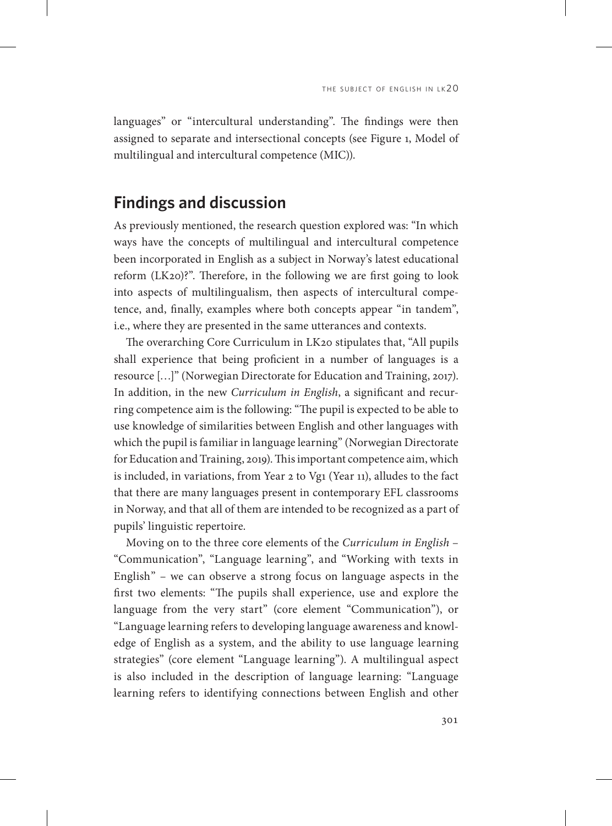languages" or "intercultural understanding". The findings were then assigned to separate and intersectional concepts (see Figure 1, Model of multilingual and intercultural competence (MIC)).

# **Findings and discussion**

As previously mentioned, the research question explored was: "In which ways have the concepts of multilingual and intercultural competence been incorporated in English as a subject in Norway's latest educational reform (LK20)?". Therefore, in the following we are first going to look into aspects of multilingualism, then aspects of intercultural competence, and, finally, examples where both concepts appear "in tandem", i.e., where they are presented in the same utterances and contexts.

The overarching Core Curriculum in LK20 stipulates that, "All pupils shall experience that being proficient in a number of languages is a resource […]" (Norwegian Directorate for Education and Training, 2017). In addition, in the new *Curriculum in English*, a significant and recurring competence aim is the following: "The pupil is expected to be able to use knowledge of similarities between English and other languages with which the pupil is familiar in language learning" (Norwegian Directorate for Education and Training, 2019). This important competence aim, which is included, in variations, from Year 2 to Vg1 (Year 11), alludes to the fact that there are many languages present in contemporary EFL classrooms in Norway, and that all of them are intended to be recognized as a part of pupils' linguistic repertoire.

Moving on to the three core elements of the *Curriculum in English* – "Communication", "Language learning", and "Working with texts in English" – we can observe a strong focus on language aspects in the first two elements: "The pupils shall experience, use and explore the language from the very start" (core element "Communication"), or "Language learning refers to developing language awareness and knowledge of English as a system, and the ability to use language learning strategies" (core element "Language learning"). A multilingual aspect is also included in the description of language learning: "Language learning refers to identifying connections between English and other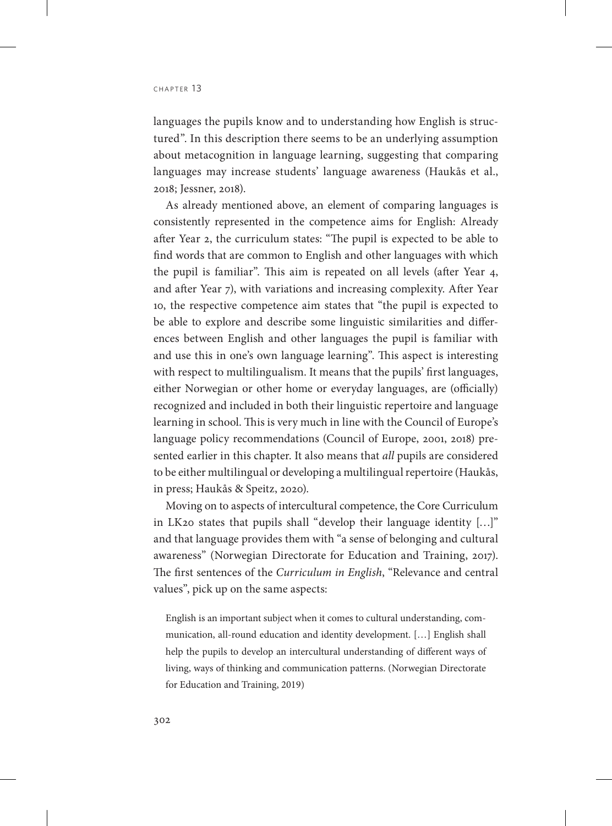languages the pupils know and to understanding how English is structured". In this description there seems to be an underlying assumption about metacognition in language learning, suggesting that comparing languages may increase students' language awareness (Haukås et al., 2018; Jessner, 2018).

As already mentioned above, an element of comparing languages is consistently represented in the competence aims for English: Already after Year 2, the curriculum states: "The pupil is expected to be able to find words that are common to English and other languages with which the pupil is familiar". This aim is repeated on all levels (after Year 4, and after Year 7), with variations and increasing complexity. After Year 10, the respective competence aim states that "the pupil is expected to be able to explore and describe some linguistic similarities and differences between English and other languages the pupil is familiar with and use this in one's own language learning". This aspect is interesting with respect to multilingualism. It means that the pupils' first languages, either Norwegian or other home or everyday languages, are (officially) recognized and included in both their linguistic repertoire and language learning in school. This is very much in line with the Council of Europe's language policy recommendations (Council of Europe, 2001, 2018) presented earlier in this chapter. It also means that *all* pupils are considered to be either multilingual or developing a multilingual repertoire (Haukås, in press; Haukås & Speitz, 2020).

Moving on to aspects of intercultural competence, the Core Curriculum in LK20 states that pupils shall "develop their language identity […]" and that language provides them with "a sense of belonging and cultural awareness" (Norwegian Directorate for Education and Training, 2017). The first sentences of the *Curriculum in English*, "Relevance and central values", pick up on the same aspects:

English is an important subject when it comes to cultural understanding, communication, all-round education and identity development. […] English shall help the pupils to develop an intercultural understanding of different ways of living, ways of thinking and communication patterns. (Norwegian Directorate for Education and Training, 2019)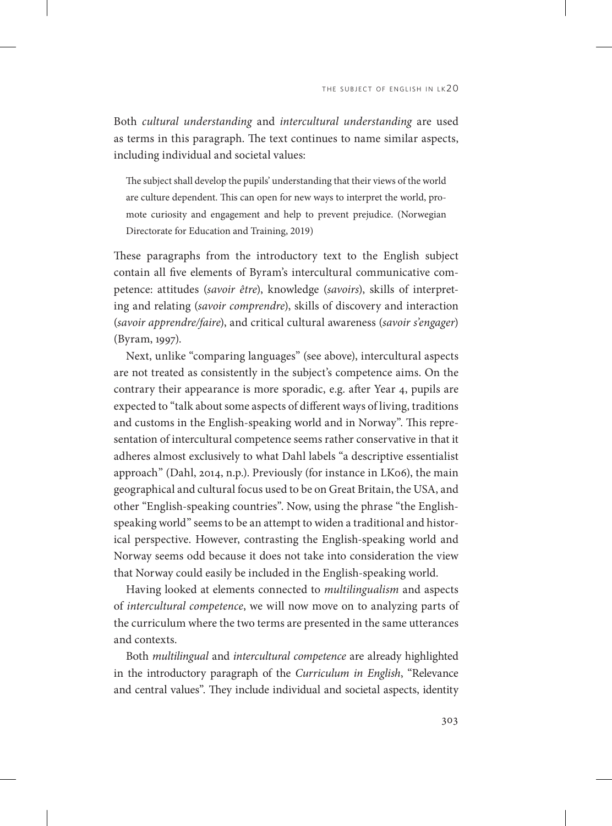Both *cultural understanding* and *intercultural understanding* are used as terms in this paragraph. The text continues to name similar aspects, including individual and societal values:

The subject shall develop the pupils' understanding that their views of the world are culture dependent. This can open for new ways to interpret the world, promote curiosity and engagement and help to prevent prejudice. (Norwegian Directorate for Education and Training, 2019)

These paragraphs from the introductory text to the English subject contain all five elements of Byram's intercultural communicative competence: attitudes (*savoir être*), knowledge (*savoirs*), skills of interpreting and relating (*savoir comprendre*), skills of discovery and interaction (*savoir apprendre/faire*), and critical cultural awareness (*savoir s'engager*) (Byram, 1997).

Next, unlike "comparing languages" (see above), intercultural aspects are not treated as consistently in the subject's competence aims. On the contrary their appearance is more sporadic, e.g. after Year 4, pupils are expected to "talk about some aspects of different ways of living, traditions and customs in the English-speaking world and in Norway". This representation of intercultural competence seems rather conservative in that it adheres almost exclusively to what Dahl labels "a descriptive essentialist approach" (Dahl, 2014, n.p.). Previously (for instance in LK06), the main geographical and cultural focus used to be on Great Britain, the USA, and other "English-speaking countries". Now, using the phrase "the Englishspeaking world" seems to be an attempt to widen a traditional and historical perspective. However, contrasting the English-speaking world and Norway seems odd because it does not take into consideration the view that Norway could easily be included in the English-speaking world.

Having looked at elements connected to *multilingualism* and aspects of *intercultural competence*, we will now move on to analyzing parts of the curriculum where the two terms are presented in the same utterances and contexts.

Both *multilingual* and *intercultural competence* are already highlighted in the introductory paragraph of the *Curriculum in English*, "Relevance and central values". They include individual and societal aspects, identity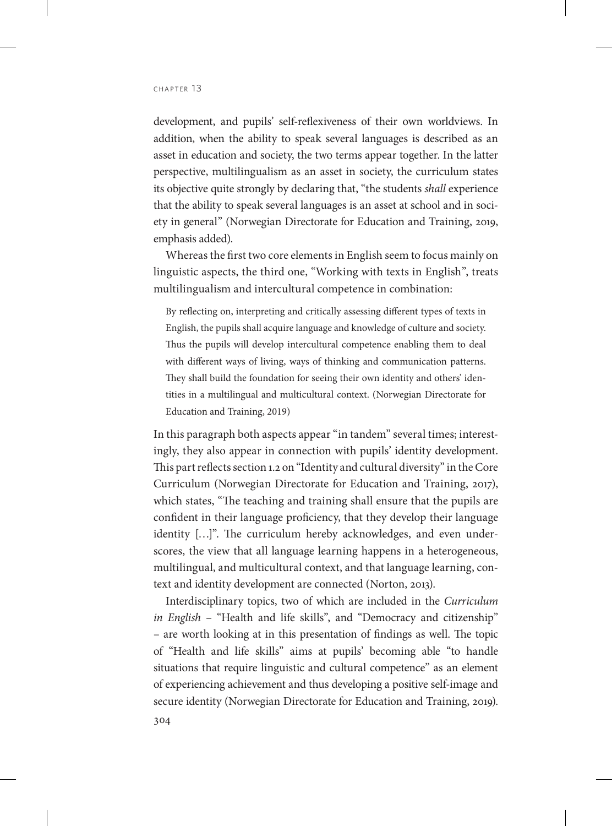development, and pupils' self-reflexiveness of their own worldviews. In addition, when the ability to speak several languages is described as an asset in education and society, the two terms appear together. In the latter perspective, multilingualism as an asset in society, the curriculum states its objective quite strongly by declaring that, "the students *shall* experience that the ability to speak several languages is an asset at school and in society in general" (Norwegian Directorate for Education and Training, 2019, emphasis added).

Whereas the first two core elements in English seem to focus mainly on linguistic aspects, the third one, "Working with texts in English", treats multilingualism and intercultural competence in combination:

By reflecting on, interpreting and critically assessing different types of texts in English, the pupils shall acquire language and knowledge of culture and society. Thus the pupils will develop intercultural competence enabling them to deal with different ways of living, ways of thinking and communication patterns. They shall build the foundation for seeing their own identity and others' identities in a multilingual and multicultural context. (Norwegian Directorate for Education and Training, 2019)

In this paragraph both aspects appear "in tandem" several times; interestingly, they also appear in connection with pupils' identity development. This part reflects section 1.2 on "Identity and cultural diversity" in the Core Curriculum (Norwegian Directorate for Education and Training, 2017), which states, "The teaching and training shall ensure that the pupils are confident in their language proficiency, that they develop their language identity […]". The curriculum hereby acknowledges, and even underscores, the view that all language learning happens in a heterogeneous, multilingual, and multicultural context, and that language learning, context and identity development are connected (Norton, 2013).

Interdisciplinary topics, two of which are included in the *Curriculum in English - "Health and life skills"*, and "Democracy and citizenship" – are worth looking at in this presentation of findings as well. The topic of "Health and life skills" aims at pupils' becoming able "to handle situations that require linguistic and cultural competence" as an element of experiencing achievement and thus developing a positive self-image and secure identity (Norwegian Directorate for Education and Training, 2019).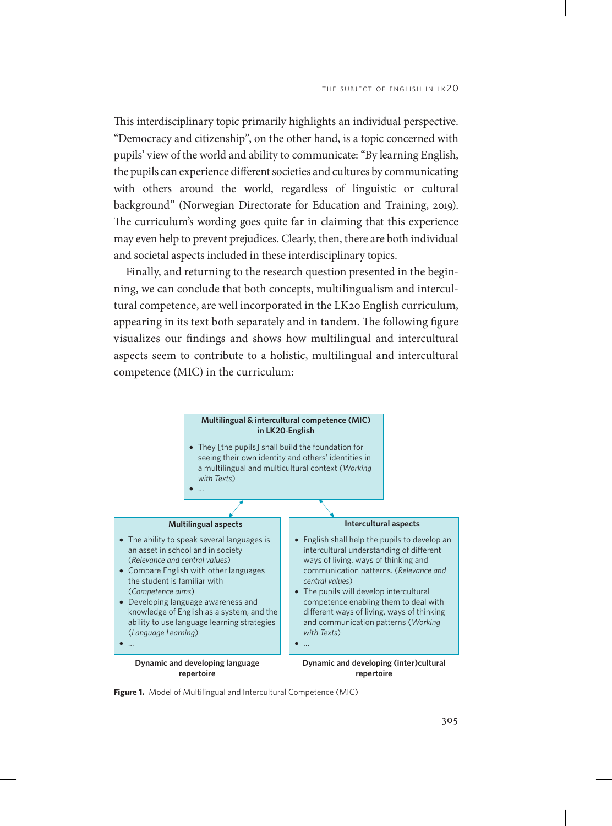This interdisciplinary topic primarily highlights an individual perspective. "Democracy and citizenship", on the other hand, is a topic concerned with pupils' view of the world and ability to communicate: "By learning English, the pupils can experience different societies and cultures by communicating with others around the world, regardless of linguistic or cultural background" (Norwegian Directorate for Education and Training, 2019). The curriculum's wording goes quite far in claiming that this experience may even help to prevent prejudices. Clearly, then, there are both individual and societal aspects included in these interdisciplinary topics.

Finally, and returning to the research question presented in the beginning, we can conclude that both concepts, multilingualism and intercultural competence, are well incorporated in the LK20 English curriculum, appearing in its text both separately and in tandem. The following figure visualizes our findings and shows how multilingual and intercultural aspects seem to contribute to a holistic, multilingual and intercultural competence (MIC) in the curriculum:



**Figure 1.** Model of Multilingual and Intercultural Competence (MIC)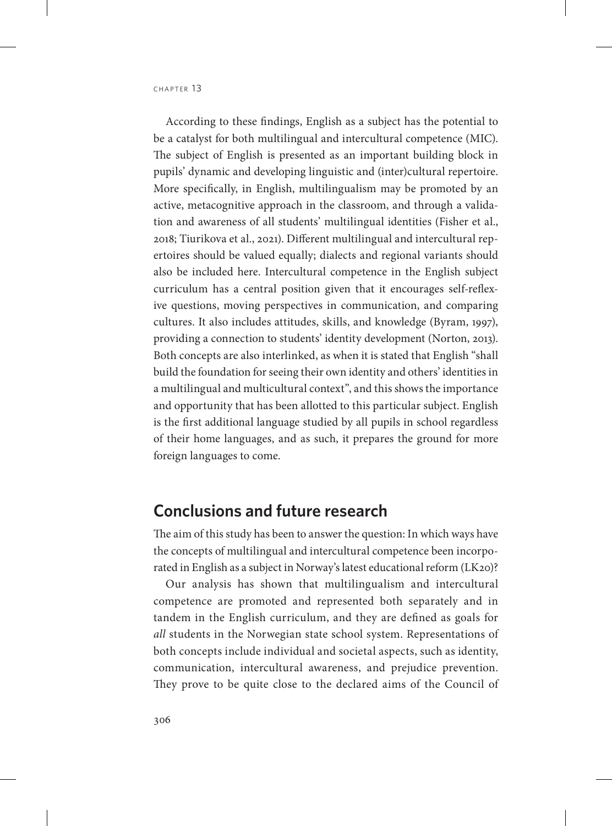According to these findings, English as a subject has the potential to be a catalyst for both multilingual and intercultural competence (MIC). The subject of English is presented as an important building block in pupils' dynamic and developing linguistic and (inter)cultural repertoire. More specifically, in English, multilingualism may be promoted by an active, metacognitive approach in the classroom, and through a validation and awareness of all students' multilingual identities (Fisher et al., 2018; Tiurikova et al., 2021). Different multilingual and intercultural repertoires should be valued equally; dialects and regional variants should also be included here. Intercultural competence in the English subject curriculum has a central position given that it encourages self-reflexive questions, moving perspectives in communication, and comparing cultures. It also includes attitudes, skills, and knowledge (Byram, 1997), providing a connection to students' identity development (Norton, 2013). Both concepts are also interlinked, as when it is stated that English "shall build the foundation for seeing their own identity and others' identities in a multilingual and multicultural context", and this shows the importance and opportunity that has been allotted to this particular subject. English is the first additional language studied by all pupils in school regardless of their home languages, and as such, it prepares the ground for more foreign languages to come.

### **Conclusions and future research**

The aim of this study has been to answer the question: In which ways have the concepts of multilingual and intercultural competence been incorporated in English as a subject in Norway's latest educational reform (LK20)?

Our analysis has shown that multilingualism and intercultural competence are promoted and represented both separately and in tandem in the English curriculum, and they are defined as goals for *all* students in the Norwegian state school system. Representations of both concepts include individual and societal aspects, such as identity, communication, intercultural awareness, and prejudice prevention. They prove to be quite close to the declared aims of the Council of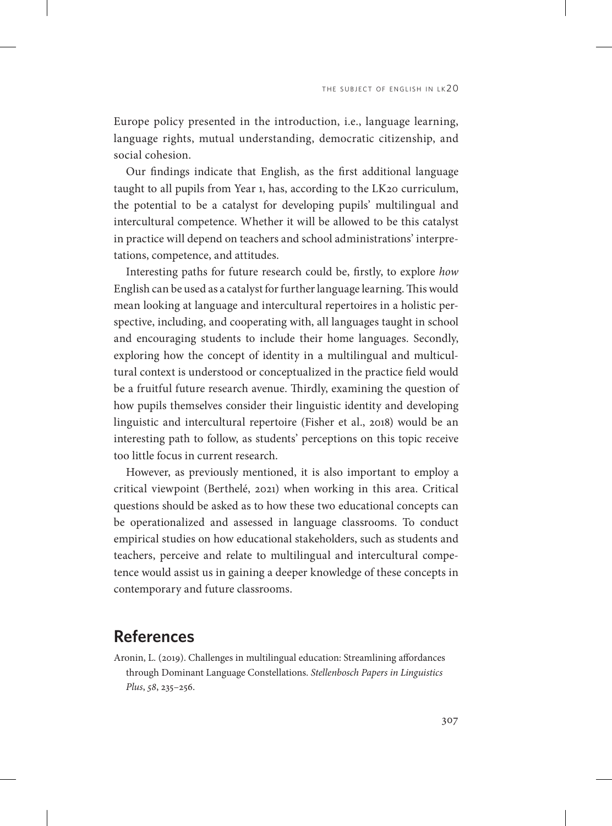Europe policy presented in the introduction, i.e., language learning, language rights, mutual understanding, democratic citizenship, and social cohesion.

Our findings indicate that English, as the first additional language taught to all pupils from Year 1, has, according to the LK20 curriculum, the potential to be a catalyst for developing pupils' multilingual and intercultural competence. Whether it will be allowed to be this catalyst in practice will depend on teachers and school administrations' interpretations, competence, and attitudes.

Interesting paths for future research could be, firstly, to explore *how* English can be used as a catalyst for further language learning. This would mean looking at language and intercultural repertoires in a holistic perspective, including, and cooperating with, all languages taught in school and encouraging students to include their home languages. Secondly, exploring how the concept of identity in a multilingual and multicultural context is understood or conceptualized in the practice field would be a fruitful future research avenue. Thirdly, examining the question of how pupils themselves consider their linguistic identity and developing linguistic and intercultural repertoire (Fisher et al., 2018) would be an interesting path to follow, as students' perceptions on this topic receive too little focus in current research.

However, as previously mentioned, it is also important to employ a critical viewpoint (Berthelé, 2021) when working in this area. Critical questions should be asked as to how these two educational concepts can be operationalized and assessed in language classrooms. To conduct empirical studies on how educational stakeholders, such as students and teachers, perceive and relate to multilingual and intercultural competence would assist us in gaining a deeper knowledge of these concepts in contemporary and future classrooms.

## **References**

Aronin, L. (2019). Challenges in multilingual education: Streamlining affordances through Dominant Language Constellations. *Stellenbosch Papers in Linguistics Plus*, *58*, 235–256.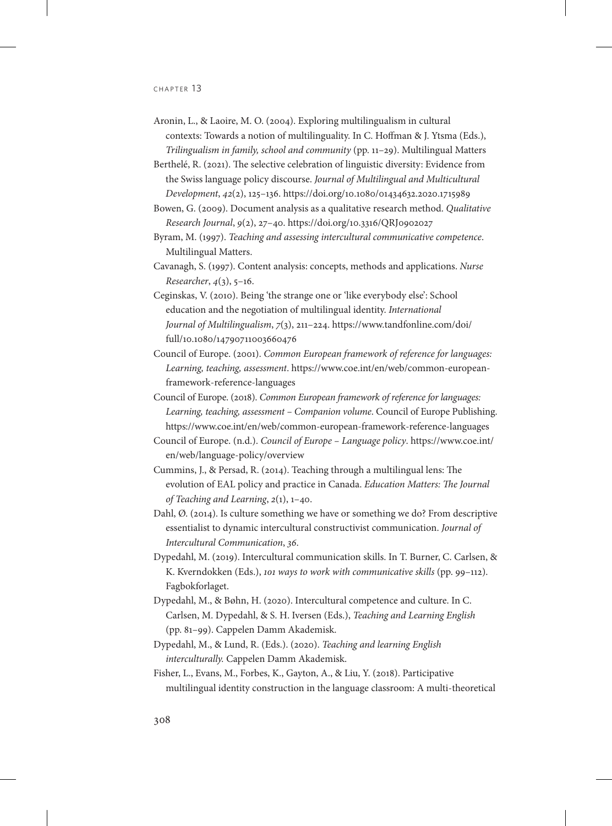- Aronin, L., & Laoire, M. O. (2004). Exploring multilingualism in cultural contexts: Towards a notion of multilinguality. In C. Hoffman & J. Ytsma (Eds.), *Trilingualism in family, school and community* (pp. 11–29). Multilingual Matters
- Berthelé, R. (2021). The selective celebration of linguistic diversity: Evidence from the Swiss language policy discourse. *Journal of Multilingual and Multicultural Development*, *42*(2), 125–136. <https://doi.org/10.1080/01434632.2020.1715989>

Bowen, G. (2009). Document analysis as a qualitative research method. *Qualitative Research Journal*, *9*(2), 27–40.<https://doi.org/10.3316/QRJ0902027>

- Byram, M. (1997). *Teaching and assessing intercultural communicative competence*. Multilingual Matters.
- Cavanagh, S. (1997). Content analysis: concepts, methods and applications. *Nurse Researcher*, *4*(3), 5–16.
- Ceginskas, V. (2010). Being 'the strange one or 'like everybody else': School education and the negotiation of multilingual identity. *International Journal of Multilingualism*, *7*(3), 211–224. [https://www.tandfonline.com/doi/](https://www.tandfonline.com/doi/full/10.1080/14790711003660476) [full/10.1080/14790711003660476](https://www.tandfonline.com/doi/full/10.1080/14790711003660476)
- Council of Europe. (2001). *Common European framework of reference for languages: Learning, teaching, assessment*. [https://www.coe.int/en/web/common-european](https://www.coe.int/en/web/common-european-framework-reference-languages)[framework-reference-languages](https://www.coe.int/en/web/common-european-framework-reference-languages)
- Council of Europe. (2018). *Common European framework of reference for languages: Learning, teaching, assessment – Companion volume*. Council of Europe Publishing. <https://www.coe.int/en/web/common-european-framework-reference-languages>
- Council of Europe. (n.d.). *Council of Europe Language policy*. [https://www.coe.int/](https://www.coe.int/en/web/language-policy/overview) [en/web/language-policy/overview](https://www.coe.int/en/web/language-policy/overview)
- Cummins, J., & Persad, R. (2014). Teaching through a multilingual lens: The evolution of EAL policy and practice in Canada. *Education Matters: The Journal of Teaching and Learning*, *2*(1), 1–40.
- Dahl, Ø. (2014). Is culture something we have or something we do? From descriptive essentialist to dynamic intercultural constructivist communication. *Journal of Intercultural Communication*, *36*.
- Dypedahl, M. (2019). Intercultural communication skills. In T. Burner, C. Carlsen, & K. Kverndokken (Eds.), *101 ways to work with communicative skills* (pp. 99–112). Fagbokforlaget.
- Dypedahl, M., & Bøhn, H. (2020). Intercultural competence and culture. In C. Carlsen, M. Dypedahl, & S. H. Iversen (Eds.), *Teaching and Learning English* (pp. 81–99). Cappelen Damm Akademisk.
- Dypedahl, M., & Lund, R. (Eds.). (2020). *Teaching and learning English interculturally.* Cappelen Damm Akademisk.
- Fisher, L., Evans, M., Forbes, K., Gayton, A., & Liu, Y. (2018). Participative multilingual identity construction in the language classroom: A multi-theoretical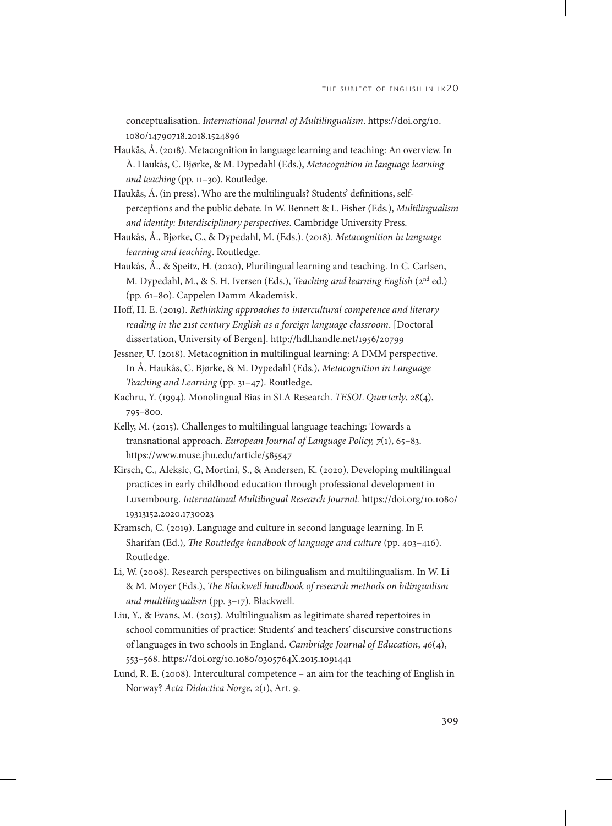conceptualisation. *International Journal of Multilingualism*. [https://doi.org/10.](https://doi.org/10.1080/14790718.2018.1524896) [1080/14790718.2018.1524896](https://doi.org/10.1080/14790718.2018.1524896)

- Haukås, Å. (2018). Metacognition in language learning and teaching: An overview. In Å. Haukås, C. Bjørke, & M. Dypedahl (Eds.), *Metacognition in language learning and teaching* (pp. 11–30). Routledge.
- Haukås, Å. (in press). Who are the multilinguals? Students' definitions, selfperceptions and the public debate. In W. Bennett & L. Fisher (Eds.), *Multilingualism and identity: Interdisciplinary perspectives*. Cambridge University Press.
- Haukås, Å., Bjørke, C., & Dypedahl, M. (Eds.). (2018). *Metacognition in language learning and teaching*. Routledge.
- Haukås, Å., & Speitz, H. (2020), Plurilingual learning and teaching. In C. Carlsen, M. Dypedahl, M., & S. H. Iversen (Eds.), *Teaching and learning English* (2nd ed.) (pp. 61–80). Cappelen Damm Akademisk.
- Hoff, H. E. (2019). *Rethinking approaches to intercultural competence and literary reading in the 21st century English as a foreign language classroom*. [Doctoral dissertation, University of Bergen].<http://hdl.handle.net/1956/20799>
- Jessner, U. (2018). Metacognition in multilingual learning: A DMM perspective. In Å. Haukås, C. Bjørke, & M. Dypedahl (Eds.), *Metacognition in Language Teaching and Learning* (pp. 31–47). Routledge.
- Kachru, Y. (1994). Monolingual Bias in SLA Research. *TESOL Quarterly*, *28*(4), 795–800.
- Kelly, M. (2015). Challenges to multilingual language teaching: Towards a transnational approach. *European Journal of Language Policy, 7*(1), 65–83. https://www.muse.jhu.edu/article/585547
- Kirsch, C., Aleksic, G, Mortini, S., & Andersen, K. (2020). Developing multilingual practices in early childhood education through professional development in Luxembourg. *International Multilingual Research Journal.* [https://doi.org/10.1080/](https://doi.org/10.1080/19313152.2020.1730023) [19313152.2020.1730023](https://doi.org/10.1080/19313152.2020.1730023)
- Kramsch, C. (2019). Language and culture in second language learning. In F. Sharifan (Ed.), *The Routledge handbook of language and culture* (pp. 403–416). Routledge.
- Li, W. (2008). Research perspectives on bilingualism and multilingualism. In W. Li & M. Moyer (Eds.), *The Blackwell handbook of research methods on bilingualism and multilingualism* (pp. 3–17). Blackwell.
- Liu, Y., & Evans, M. (2015). Multilingualism as legitimate shared repertoires in school communities of practice: Students' and teachers' discursive constructions of languages in two schools in England. *Cambridge Journal of Education*, *46*(4), 553–568. https://doi.org/10.1080/0305764X.2015.1091441
- Lund, R. E. (2008). Intercultural competence an aim for the teaching of English in Norway? *Acta Didactica Norge*, *2*(1), Art. 9.